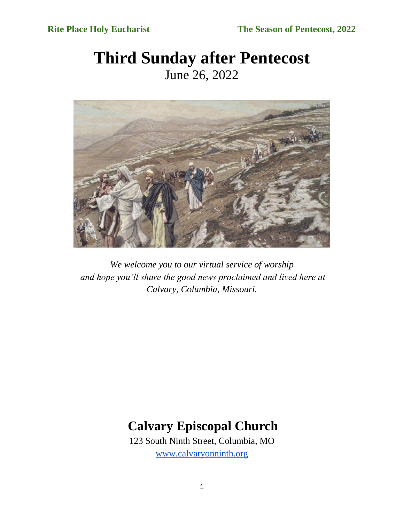# **Third Sunday after Pentecost** June 26, 2022



*We welcome you to our virtual service of worship and hope you'll share the good news proclaimed and lived here at Calvary, Columbia, Missouri.*

# **Calvary Episcopal Church**

123 South Ninth Street, Columbia, MO [www.calvaryonninth.org](http://www.calvaryonninth.org/)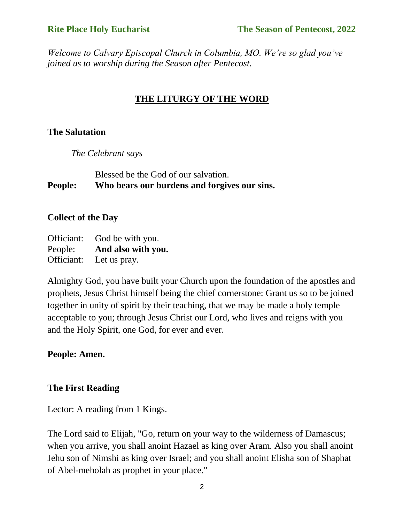*Welcome to Calvary Episcopal Church in Columbia, MO. We're so glad you've joined us to worship during the Season after Pentecost.*

# **THE LITURGY OF THE WORD**

# **The Salutation**

*The Celebrant says*

Blessed be the God of our salvation. **People: Who bears our burdens and forgives our sins.**

# **Collect of the Day**

| Officiant: | God be with you.   |
|------------|--------------------|
| People:    | And also with you. |
| Officiant: | Let us pray.       |

Almighty God, you have built your Church upon the foundation of the apostles and prophets, Jesus Christ himself being the chief cornerstone: Grant us so to be joined together in unity of spirit by their teaching, that we may be made a holy temple acceptable to you; through Jesus Christ our Lord, who lives and reigns with you and the Holy Spirit, one God, for ever and ever.

# **People: Amen.**

# **The First Reading**

Lector: A reading from 1 Kings.

The Lord said to Elijah, "Go, return on your way to the wilderness of Damascus; when you arrive, you shall anoint Hazael as king over Aram. Also you shall anoint Jehu son of Nimshi as king over Israel; and you shall anoint Elisha son of Shaphat of Abel-meholah as prophet in your place."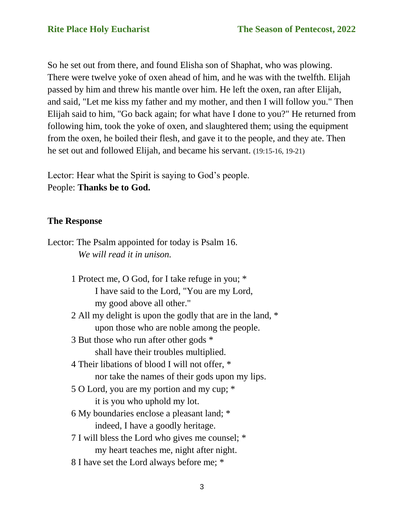So he set out from there, and found Elisha son of Shaphat, who was plowing. There were twelve yoke of oxen ahead of him, and he was with the twelfth. Elijah passed by him and threw his mantle over him. He left the oxen, ran after Elijah, and said, "Let me kiss my father and my mother, and then I will follow you." Then Elijah said to him, "Go back again; for what have I done to you?" He returned from following him, took the yoke of oxen, and slaughtered them; using the equipment from the oxen, he boiled their flesh, and gave it to the people, and they ate. Then he set out and followed Elijah, and became his servant. (19:15-16, 19-21)

Lector: Hear what the Spirit is saying to God's people. People: **Thanks be to God.**

# **The Response**

Lector: The Psalm appointed for today is Psalm 16. *We will read it in unison.*

> 1 Protect me, O God, for I take refuge in you; \* I have said to the Lord, "You are my Lord, my good above all other." 2 All my delight is upon the godly that are in the land, \* upon those who are noble among the people. 3 But those who run after other gods \* shall have their troubles multiplied. 4 Their libations of blood I will not offer, \* nor take the names of their gods upon my lips. 5 O Lord, you are my portion and my cup; \* it is you who uphold my lot. 6 My boundaries enclose a pleasant land; \* indeed, I have a goodly heritage. 7 I will bless the Lord who gives me counsel; \* my heart teaches me, night after night. 8 I have set the Lord always before me; \*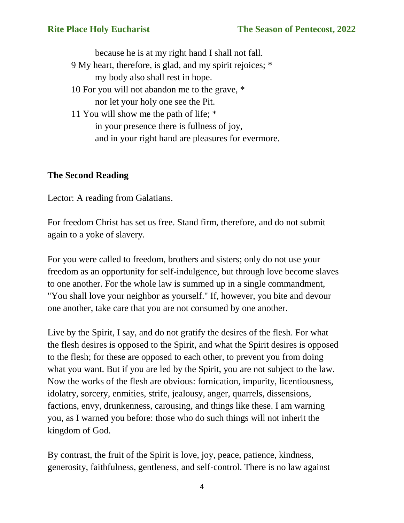because he is at my right hand I shall not fall. 9 My heart, therefore, is glad, and my spirit rejoices; \* my body also shall rest in hope. 10 For you will not abandon me to the grave, \* nor let your holy one see the Pit. 11 You will show me the path of life; \* in your presence there is fullness of joy, and in your right hand are pleasures for evermore.

# **The Second Reading**

Lector: A reading from Galatians.

For freedom Christ has set us free. Stand firm, therefore, and do not submit again to a yoke of slavery.

For you were called to freedom, brothers and sisters; only do not use your freedom as an opportunity for self-indulgence, but through love become slaves to one another. For the whole law is summed up in a single commandment, "You shall love your neighbor as yourself." If, however, you bite and devour one another, take care that you are not consumed by one another.

Live by the Spirit, I say, and do not gratify the desires of the flesh. For what the flesh desires is opposed to the Spirit, and what the Spirit desires is opposed to the flesh; for these are opposed to each other, to prevent you from doing what you want. But if you are led by the Spirit, you are not subject to the law. Now the works of the flesh are obvious: fornication, impurity, licentiousness, idolatry, sorcery, enmities, strife, jealousy, anger, quarrels, dissensions, factions, envy, drunkenness, carousing, and things like these. I am warning you, as I warned you before: those who do such things will not inherit the kingdom of God.

By contrast, the fruit of the Spirit is love, joy, peace, patience, kindness, generosity, faithfulness, gentleness, and self-control. There is no law against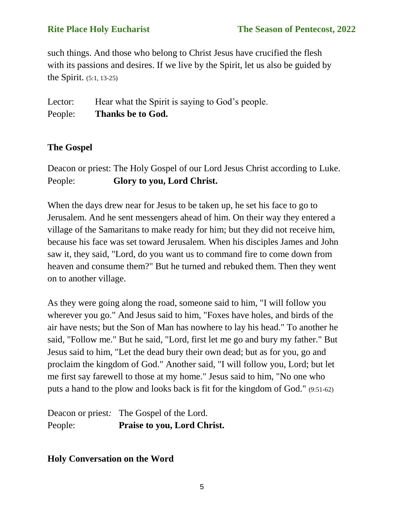such things. And those who belong to Christ Jesus have crucified the flesh with its passions and desires. If we live by the Spirit, let us also be guided by the Spirit. (5:1, 13-25)

Lector: Hear what the Spirit is saying to God's people. People: **Thanks be to God.**

# **The Gospel**

Deacon or priest: The Holy Gospel of our Lord Jesus Christ according to Luke. People: **Glory to you, Lord Christ.**

When the days drew near for Jesus to be taken up, he set his face to go to Jerusalem. And he sent messengers ahead of him. On their way they entered a village of the Samaritans to make ready for him; but they did not receive him, because his face was set toward Jerusalem. When his disciples James and John saw it, they said, "Lord, do you want us to command fire to come down from heaven and consume them?" But he turned and rebuked them. Then they went on to another village.

As they were going along the road, someone said to him, "I will follow you wherever you go." And Jesus said to him, "Foxes have holes, and birds of the air have nests; but the Son of Man has nowhere to lay his head." To another he said, "Follow me." But he said, "Lord, first let me go and bury my father." But Jesus said to him, "Let the dead bury their own dead; but as for you, go and proclaim the kingdom of God." Another said, "I will follow you, Lord; but let me first say farewell to those at my home." Jesus said to him, "No one who puts a hand to the plow and looks back is fit for the kingdom of God." (9:51-62)

Deacon or priest*:* The Gospel of the Lord. People: **Praise to you, Lord Christ.**

# **Holy Conversation on the Word**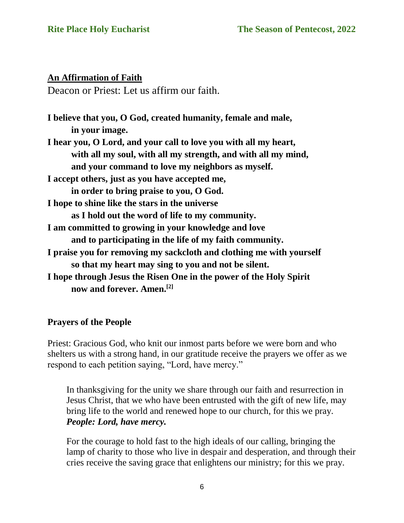# **An Affirmation of Faith**

Deacon or Priest: Let us affirm our faith.

| I believe that you, O God, created humanity, female and male,<br>in your image. |
|---------------------------------------------------------------------------------|
| I hear you, O Lord, and your call to love you with all my heart,                |
| with all my soul, with all my strength, and with all my mind,                   |
| and your command to love my neighbors as myself.                                |
| I accept others, just as you have accepted me,                                  |
| in order to bring praise to you, O God.                                         |
| I hope to shine like the stars in the universe                                  |
| as I hold out the word of life to my community.                                 |
| I am committed to growing in your knowledge and love                            |
| and to participating in the life of my faith community.                         |
| I praise you for removing my sackcloth and clothing me with yourself            |
| so that my heart may sing to you and not be silent.                             |
| I hope through Jesus the Risen One in the power of the Holy Spirit              |
| now and forever. Amen. <sup>[2]</sup>                                           |

# **Prayers of the People**

Priest: Gracious God, who knit our inmost parts before we were born and who shelters us with a strong hand, in our gratitude receive the prayers we offer as we respond to each petition saying, "Lord, have mercy."

In thanksgiving for the unity we share through our faith and resurrection in Jesus Christ, that we who have been entrusted with the gift of new life, may bring life to the world and renewed hope to our church, for this we pray. *People: Lord, have mercy.*

For the courage to hold fast to the high ideals of our calling, bringing the lamp of charity to those who live in despair and desperation, and through their cries receive the saving grace that enlightens our ministry; for this we pray.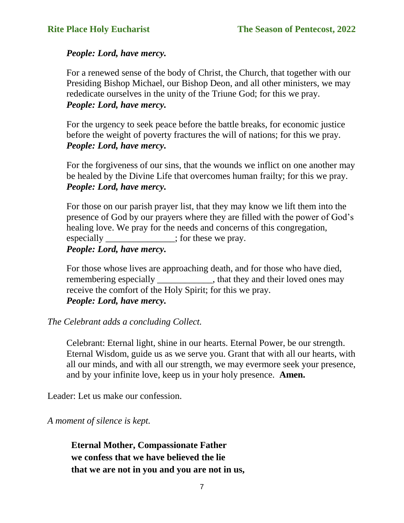# *People: Lord, have mercy.*

For a renewed sense of the body of Christ, the Church, that together with our Presiding Bishop Michael, our Bishop Deon, and all other ministers, we may rededicate ourselves in the unity of the Triune God; for this we pray. *People: Lord, have mercy.*

For the urgency to seek peace before the battle breaks, for economic justice before the weight of poverty fractures the will of nations; for this we pray. *People: Lord, have mercy.*

For the forgiveness of our sins, that the wounds we inflict on one another may be healed by the Divine Life that overcomes human frailty; for this we pray. *People: Lord, have mercy.*

For those on our parish prayer list, that they may know we lift them into the presence of God by our prayers where they are filled with the power of God's healing love. We pray for the needs and concerns of this congregation, especially \_\_\_\_\_\_\_\_\_\_\_\_\_; for these we pray.

# *People: Lord, have mercy.*

For those whose lives are approaching death, and for those who have died, remembering especially \_\_\_\_\_\_\_\_\_\_\_, that they and their loved ones may receive the comfort of the Holy Spirit; for this we pray. *People: Lord, have mercy.*

### *The Celebrant adds a concluding Collect.*

Celebrant: Eternal light, shine in our hearts. Eternal Power, be our strength. Eternal Wisdom, guide us as we serve you. Grant that with all our hearts, with all our minds, and with all our strength, we may evermore seek your presence, and by your infinite love, keep us in your holy presence. **Amen.**

Leader: Let us make our confession.

### *A moment of silence is kept.*

**Eternal Mother, Compassionate Father we confess that we have believed the lie that we are not in you and you are not in us,**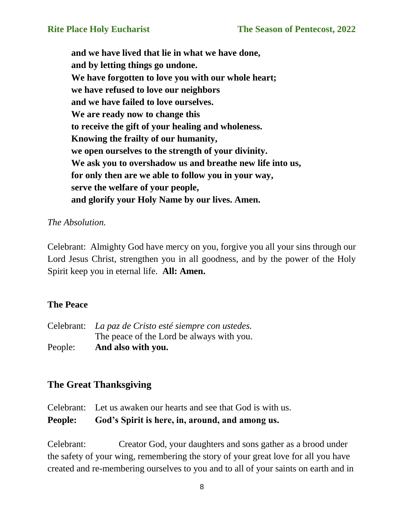**and we have lived that lie in what we have done, and by letting things go undone. We have forgotten to love you with our whole heart; we have refused to love our neighbors and we have failed to love ourselves. We are ready now to change this to receive the gift of your healing and wholeness. Knowing the frailty of our humanity, we open ourselves to the strength of your divinity. We ask you to overshadow us and breathe new life into us, for only then are we able to follow you in your way, serve the welfare of your people, and glorify your Holy Name by our lives. Amen.**

# *The Absolution.*

Celebrant: Almighty God have mercy on you, forgive you all your sins through our Lord Jesus Christ, strengthen you in all goodness, and by the power of the Holy Spirit keep you in eternal life. **All: Amen.**

# **The Peace**

Celebrant: *La paz de Cristo esté siempre con ustedes.* The peace of the Lord be always with you. People: **And also with you.**

# **The Great Thanksgiving**

Celebrant: Let us awaken our hearts and see that God is with us.

# **People: God's Spirit is here, in, around, and among us.**

Celebrant: Creator God, your daughters and sons gather as a brood under the safety of your wing, remembering the story of your great love for all you have created and re-membering ourselves to you and to all of your saints on earth and in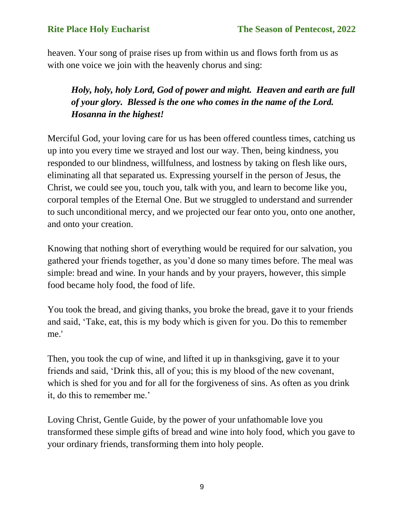heaven. Your song of praise rises up from within us and flows forth from us as with one voice we join with the heavenly chorus and sing:

# *Holy, holy, holy Lord, God of power and might. Heaven and earth are full of your glory. Blessed is the one who comes in the name of the Lord. Hosanna in the highest!*

Merciful God, your loving care for us has been offered countless times, catching us up into you every time we strayed and lost our way. Then, being kindness, you responded to our blindness, willfulness, and lostness by taking on flesh like ours, eliminating all that separated us. Expressing yourself in the person of Jesus, the Christ, we could see you, touch you, talk with you, and learn to become like you, corporal temples of the Eternal One. But we struggled to understand and surrender to such unconditional mercy, and we projected our fear onto you, onto one another, and onto your creation.

Knowing that nothing short of everything would be required for our salvation, you gathered your friends together, as you'd done so many times before. The meal was simple: bread and wine. In your hands and by your prayers, however, this simple food became holy food, the food of life.

You took the bread, and giving thanks, you broke the bread, gave it to your friends and said, 'Take, eat, this is my body which is given for you. Do this to remember me.'

Then, you took the cup of wine, and lifted it up in thanksgiving, gave it to your friends and said, 'Drink this, all of you; this is my blood of the new covenant, which is shed for you and for all for the forgiveness of sins. As often as you drink it, do this to remember me.'

Loving Christ, Gentle Guide, by the power of your unfathomable love you transformed these simple gifts of bread and wine into holy food, which you gave to your ordinary friends, transforming them into holy people.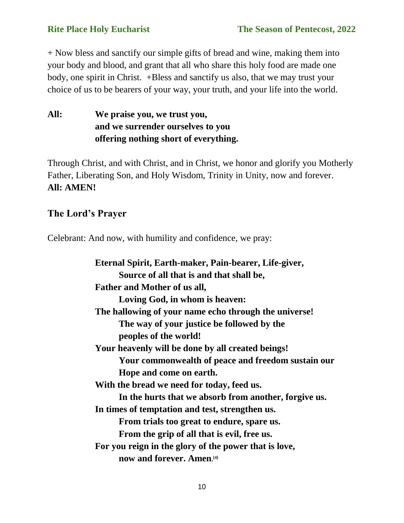+ Now bless and sanctify our simple gifts of bread and wine, making them into your body and blood, and grant that all who share this holy food are made one body, one spirit in Christ. +Bless and sanctify us also, that we may trust your choice of us to be bearers of your way, your truth, and your life into the world.

**All: We praise you, we trust you, and we surrender ourselves to you offering nothing short of everything.**

Through Christ, and with Christ, and in Christ, we honor and glorify you Motherly Father, Liberating Son, and Holy Wisdom, Trinity in Unity, now and forever. **All: AMEN!**

# **The Lord's Prayer**

Celebrant: And now, with humility and confidence, we pray:

 **Eternal Spirit, Earth-maker, Pain-bearer, Life-giver, Source of all that is and that shall be, Father and Mother of us all, Loving God, in whom is heaven: The hallowing of your name echo through the universe! The way of your justice be followed by the peoples of the world! Your heavenly will be done by all created beings! Your commonwealth of peace and freedom sustain our Hope and come on earth. With the bread we need for today, feed us. In the hurts that we absorb from another, forgive us. In times of temptation and test, strengthen us. From trials too great to endure, spare us. From the grip of all that is evil, free us. For you reign in the glory of the power that is love, now and forever. Amen. [4]**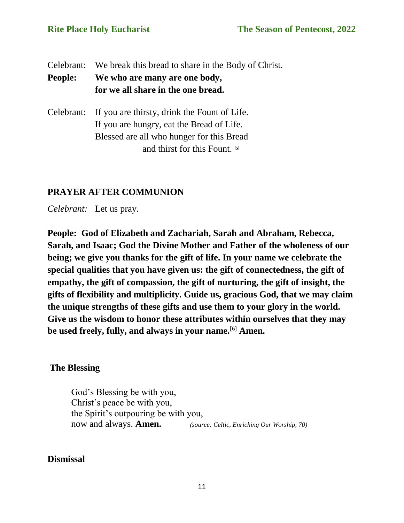Celebrant: We break this bread to share in the Body of Christ.

**People: We who are many are one body, for we all share in the one bread.**

Celebrant: If you are thirsty, drink the Fount of Life. If you are hungry, eat the Bread of Life. Blessed are all who hunger for this Bread and thirst for this Fount. **[5]**

# **PRAYER AFTER COMMUNION**

*Celebrant:* Let us pray.

**People: God of Elizabeth and Zachariah, Sarah and Abraham, Rebecca, Sarah, and Isaac; God the Divine Mother and Father of the wholeness of our being; we give you thanks for the gift of life. In your name we celebrate the special qualities that you have given us: the gift of connectedness, the gift of empathy, the gift of compassion, the gift of nurturing, the gift of insight, the gifts of flexibility and multiplicity. Guide us, gracious God, that we may claim the unique strengths of these gifts and use them to your glory in the world. Give us the wisdom to honor these attributes within ourselves that they may be used freely, fully, and always in your name.**[6] **Amen.**

**The Blessing**

God's Blessing be with you, Christ's peace be with you, the Spirit's outpouring be with you, now and always. **Amen.** *(source: Celtic, Enriching Our Worship, 70)* 

**Dismissal**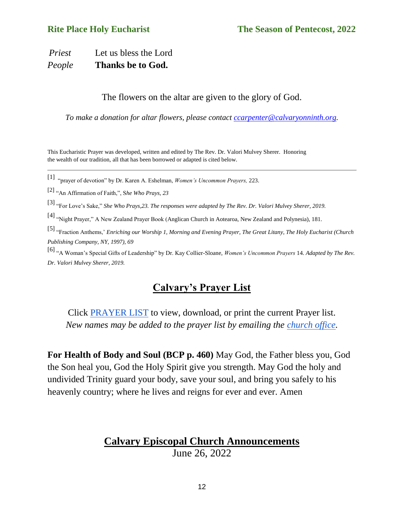*Priest* Let us bless the Lord *People* **Thanks be to God.**

The flowers on the altar are given to the glory of God.

*To make a donation for altar flowers, please contact [ccarpenter@calvaryonninth.org.](about:blank)*

This Eucharistic Prayer was developed, written and edited by The Rev. Dr. Valori Mulvey Sherer. Honoring the wealth of our tradition, all that has been borrowed or adapted is cited below.

[1] "prayer of devotion" by Dr. Karen A. Eshelman, *Women's Uncommon Prayers,* 223.

[2] "An Affirmation of Faith,", S*he Who Prays, 23*

[3] "For Love's Sake," *She Who Prays,23. The responses were adapted by The Rev. Dr. Valori Mulvey Sherer, 2019.*

[4] "Night Prayer," A New Zealand Prayer Book (Anglican Church in Aotearoa, New Zealand and Polynesia), 181.

[5] "Fraction Anthems,' *Enriching our Worship 1, Morning and Evening Prayer, The Great Litany, The Holy Eucharist (Church Publishing Company, NY, 1997), 69*

[6] "A Woman's Special Gifts of Leadership" by Dr. Kay Collier-Sloane, *Women's Uncommon Prayers* 14. *Adapted by The Rev. Dr. Valori Mulvey Sherer, 2019.*

# **Calvary's Prayer List**

Click [PRAYER LIST](https://drive.google.com/file/d/1OzF3G-MIq141273XXDTH17B_GJtNmiT1/view?usp=sharing) to view, download, or print the current Prayer list. *New names may be added to the prayer list by emailing the [church office.](mailto:ccarpenter@calvaryonninth.org)*

**For Health of Body and Soul (BCP p. 460)** May God, the Father bless you, God the Son heal you, God the Holy Spirit give you strength. May God the holy and undivided Trinity guard your body, save your soul, and bring you safely to his heavenly country; where he lives and reigns for ever and ever. Amen

# **Calvary Episcopal Church Announcements**

June 26, 2022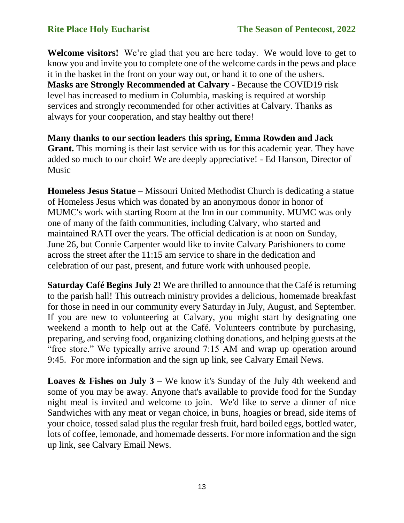**Welcome visitors!** We're glad that you are here today. We would love to get to know you and invite you to complete one of the welcome cards in the pews and place it in the basket in the front on your way out, or hand it to one of the ushers. **Masks are Strongly Recommended at Calvary** - Because the COVID19 risk level has increased to medium in Columbia, masking is required at worship services and strongly recommended for other activities at Calvary. Thanks as always for your cooperation, and stay healthy out there!

**Many thanks to our section leaders this spring, Emma Rowden and Jack**  Grant. This morning is their last service with us for this academic year. They have added so much to our choir! We are deeply appreciative! - Ed Hanson, Director of Music

**Homeless Jesus Statue** – Missouri United Methodist Church is dedicating a statue of Homeless Jesus which was donated by an anonymous donor in honor of MUMC's work with starting Room at the Inn in our community. MUMC was only one of many of the faith communities, including Calvary, who started and maintained RATI over the years. The official dedication is at noon on Sunday, June 26, but Connie Carpenter would like to invite Calvary Parishioners to come across the street after the 11:15 am service to share in the dedication and celebration of our past, present, and future work with unhoused people.

**Saturday Café Begins July 2!** We are thrilled to announce that the Café is returning to the parish hall! This outreach ministry provides a delicious, homemade breakfast for those in need in our community every Saturday in July, August, and September. If you are new to volunteering at Calvary, you might start by designating one weekend a month to help out at the Café. Volunteers contribute by purchasing, preparing, and serving food, organizing clothing donations, and helping guests at the "free store." We typically arrive around 7:15 AM and wrap up operation around 9:45. For more information and the sign up link, see Calvary Email News.

**Loaves & Fishes on July 3** – We know it's Sunday of the July 4th weekend and some of you may be away. Anyone that's available to provide food for the Sunday night meal is invited and welcome to join. We'd like to serve a dinner of nice Sandwiches with any meat or vegan choice, in buns, hoagies or bread, side items of your choice, tossed salad plus the regular fresh fruit, hard boiled eggs, bottled water, lots of coffee, lemonade, and homemade desserts. For more information and the sign up link, see Calvary Email News.